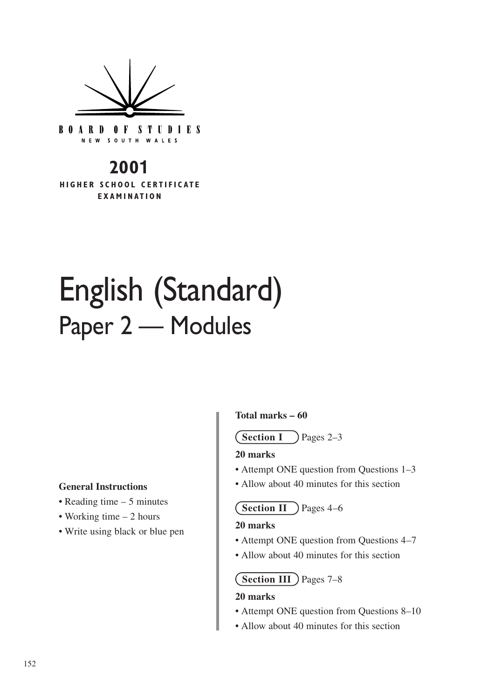

**BOARD OF STUDIES** NEW SOUTH WALES

# **2001**

**HIGHER SCHOOL CERTIFICATE EXAMINATION**

# English (Standard) Paper 2 — Modules

#### **General Instructions**

- Reading time 5 minutes
- Working time 2 hours
- Write using black or blue pen

#### **Total marks – 60**

 $\angle$  Pages 2–3 **Section I**

#### **20 marks**

- Attempt ONE question from Questions 1–3
- Allow about 40 minutes for this section

#### **Section II** ) Pages 4–6

#### **20 marks**

- Attempt ONE question from Questions 4–7
- Allow about 40 minutes for this section

#### **Section III** ) Pages 7–8

#### **20 marks**

- Attempt ONE question from Questions 8–10
- Allow about 40 minutes for this section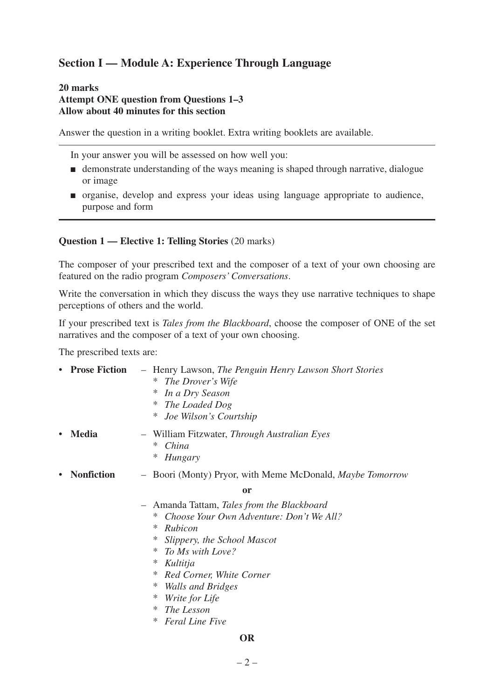## **Section I — Module A: Experience Through Language**

#### **20 marks Attempt ONE question from Questions 1–3 Allow about 40 minutes for this section**

Answer the question in a writing booklet. Extra writing booklets are available.

In your answer you will be assessed on how well you:

- demonstrate understanding of the ways meaning is shaped through narrative, dialogue or image
- organise, develop and express your ideas using language appropriate to audience, purpose and form

#### **Question 1 — Elective 1: Telling Stories** (20 marks)

The composer of your prescribed text and the composer of a text of your own choosing are featured on the radio program *Composers' Conversations*.

Write the conversation in which they discuss the ways they use narrative techniques to shape perceptions of others and the world.

If your prescribed text is *Tales from the Blackboard*, choose the composer of ONE of the set narratives and the composer of a text of your own choosing.

The prescribed texts are:

| - Henry Lawson, The Penguin Henry Lawson Short Stories<br>The Drover's Wife<br>∗<br>In a Dry Season<br>∗<br>The Loaded Dog<br>∗<br>Joe Wilson's Courtship<br>∗                                                                                                                                                      |
|---------------------------------------------------------------------------------------------------------------------------------------------------------------------------------------------------------------------------------------------------------------------------------------------------------------------|
| - William Fitzwater, Through Australian Eyes<br>∗<br>China<br>∗<br>Hungary                                                                                                                                                                                                                                          |
| - Boori (Monty) Pryor, with Meme McDonald, <i>Maybe Tomorrow</i>                                                                                                                                                                                                                                                    |
| <sub>or</sub>                                                                                                                                                                                                                                                                                                       |
| Amanda Tattam, Tales from the Blackboard<br>$\overline{\phantom{m}}$<br>Choose Your Own Adventure: Don't We All?<br>∗<br>Rubicon<br>∗<br>∗<br>Slippery, the School Mascot<br>To Ms with Love?<br>∗<br>∗<br>Kultitja<br>Red Corner, White Corner<br>∗<br>∗<br><b>Walls and Bridges</b><br>∗<br><i>Write for Life</i> |
|                                                                                                                                                                                                                                                                                                                     |

#### **OR**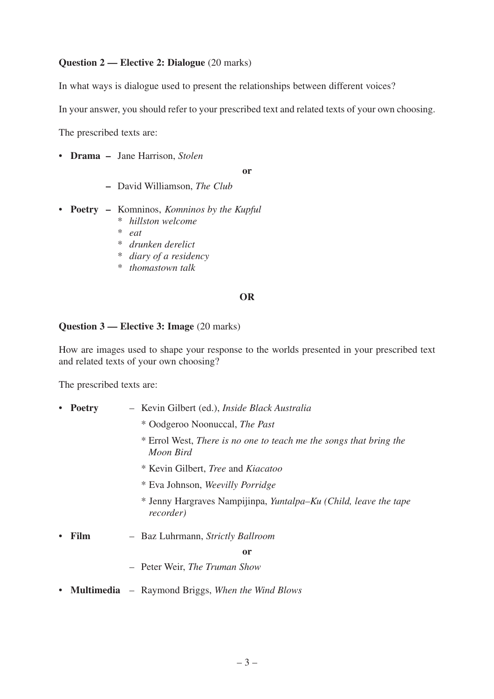#### **Question 2 — Elective 2: Dialogue** (20 marks)

In what ways is dialogue used to present the relationships between different voices?

In your answer, you should refer to your prescribed text and related texts of your own choosing.

The prescribed texts are:

• **Drama –** Jane Harrison, *Stolen*

**or**

- **–** David Williamson, *The Club*
- **Poetry –** Komninos, *Komninos by the Kupful* \* *hillston welcome*
	-
	- \* *eat*
	- \* *drunken derelict*
	- \* *diary of a residency*
	- \* *thomastown talk*

#### **OR**

#### **Question 3 — Elective 3: Image** (20 marks)

How are images used to shape your response to the worlds presented in your prescribed text and related texts of your own choosing?

The prescribed texts are:

| • Poetry | - Kevin Gilbert (ed.), <i>Inside Black Australia</i>                                   |
|----------|----------------------------------------------------------------------------------------|
|          | * Oodgeroo Noonuccal, The Past                                                         |
|          | * Errol West, <i>There is no one to teach me the songs that bring the</i><br>Moon Bird |
|          | * Kevin Gilbert, <i>Tree</i> and <i>Kiacatoo</i>                                       |
|          | * Eva Johnson, Weevilly Porridge                                                       |
|          | * Jenny Hargraves Nampijinpa, Yuntalpa-Ku (Child, leave the tape<br><i>recorder</i> )  |
| • Film   | - Baz Luhrmann, Strictly Ballroom                                                      |
|          | <sub>or</sub>                                                                          |
|          | - Peter Weir, <i>The Truman Show</i>                                                   |
|          | • <b>Multimedia</b> – Raymond Briggs, When the Wind Blows                              |
|          |                                                                                        |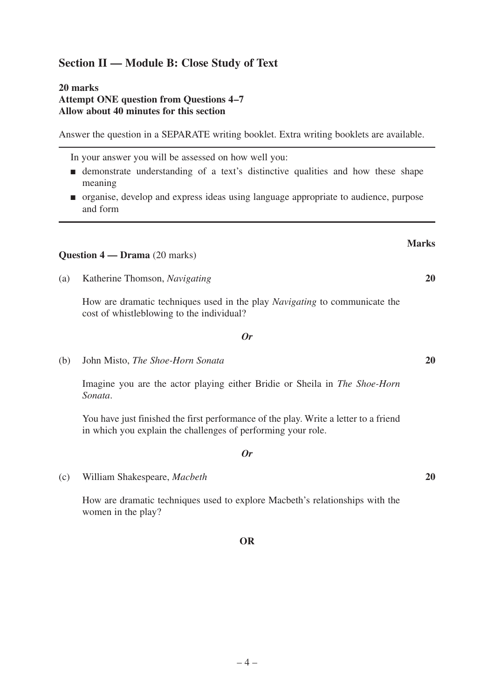## **Section II — Module B: Close Study of Text**

#### **20 marks Attempt ONE question from Questions 4–7 Allow about 40 minutes for this section**

Answer the question in a SEPARATE writing booklet. Extra writing booklets are available.

In your answer you will be assessed on how well you:

- demonstrate understanding of a text's distinctive qualities and how these shape meaning
- organise, develop and express ideas using language appropriate to audience, purpose and form

#### **Question 4 — Drama** (20 marks)

(a) Katherine Thomson, *Navigating*

How are dramatic techniques used in the play *Navigating* to communicate the cost of whistleblowing to the individual?

#### *Or*

(b) John Misto, *The Shoe-Horn Sonata*

Imagine you are the actor playing either Bridie or Sheila in *The Shoe-Horn Sonata*.

You have just finished the first performance of the play. Write a letter to a friend in which you explain the challenges of performing your role.

#### *Or*

(c) William Shakespeare, *Macbeth*

How are dramatic techniques used to explore Macbeth's relationships with the women in the play?

**OR**

**20**

**Marks**

**20**

**20**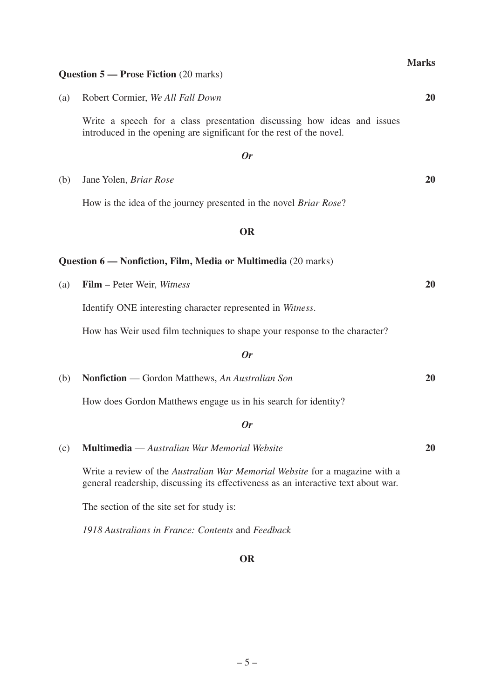**OR**

# **Question 5 — Prose Fiction** (20 marks)

| (a) | Robert Cormier, We All Fall Down                                                                                                                                  | 20        |
|-----|-------------------------------------------------------------------------------------------------------------------------------------------------------------------|-----------|
|     | Write a speech for a class presentation discussing how ideas and issues<br>introduced in the opening are significant for the rest of the novel.                   |           |
|     | <b>Or</b>                                                                                                                                                         |           |
| (b) | Jane Yolen, Briar Rose                                                                                                                                            | <b>20</b> |
|     | How is the idea of the journey presented in the novel <i>Briar Rose</i> ?                                                                                         |           |
|     | <b>OR</b>                                                                                                                                                         |           |
|     | Question 6 — Nonfiction, Film, Media or Multimedia (20 marks)                                                                                                     |           |
| (a) | <b>Film</b> – Peter Weir, <i>Witness</i>                                                                                                                          | <b>20</b> |
|     | Identify ONE interesting character represented in Witness.                                                                                                        |           |
|     | How has Weir used film techniques to shape your response to the character?                                                                                        |           |
|     | <b>Or</b>                                                                                                                                                         |           |
| (b) | <b>Nonfiction</b> — Gordon Matthews, An Australian Son                                                                                                            | <b>20</b> |
|     | How does Gordon Matthews engage us in his search for identity?                                                                                                    |           |
|     | <b>Or</b>                                                                                                                                                         |           |
| (c) | <b>Multimedia</b> — Australian War Memorial Website                                                                                                               | 20        |
|     | Write a review of the Australian War Memorial Website for a magazine with a<br>general readership, discussing its effectiveness as an interactive text about war. |           |
|     | The section of the site set for study is:                                                                                                                         |           |
|     | 1918 Australians in France: Contents and Feedback                                                                                                                 |           |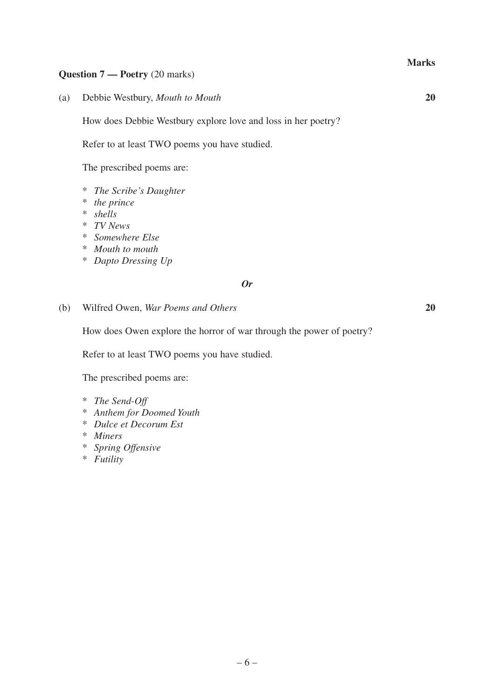#### **Question 7 — Poetry** (20 marks)

(a) Debbie Westbury, *Mouth to Mouth*

How does Debbie Westbury explore love and loss in her poetry?

Refer to at least TWO poems you have studied.

The prescribed poems are:

- \* *The Scribe's Daughter*
- \* *the prince*
- \* *shells*
- \* *TV News*
- \* *Somewhere Else*
- \* *Mouth to mouth*
- \* *Dapto Dressing Up*

#### *Or*

(b) Wilfred Owen, *War Poems and Others*

How does Owen explore the horror of war through the power of poetry?

Refer to at least TWO poems you have studied.

The prescribed poems are:

- \* *The Send-Off*
- \* *Anthem for Doomed Youth*
- \* *Dulce et Decorum Est*
- \* *Miners*
- \* *Spring Offensive*
- \* *Futility*

**20**

**20**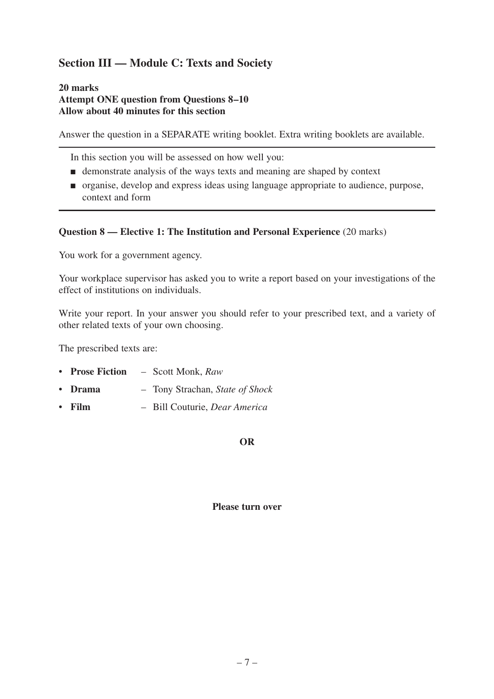# **Section III — Module C: Texts and Society**

#### **20 marks Attempt ONE question from Questions 8–10 Allow about 40 minutes for this section**

Answer the question in a SEPARATE writing booklet. Extra writing booklets are available.

In this section you will be assessed on how well you:

- demonstrate analysis of the ways texts and meaning are shaped by context
- organise, develop and express ideas using language appropriate to audience, purpose, context and form

#### **Question 8 — Elective 1: The Institution and Personal Experience** (20 marks)

You work for a government agency.

Your workplace supervisor has asked you to write a report based on your investigations of the effect of institutions on individuals.

Write your report. In your answer you should refer to your prescribed text, and a variety of other related texts of your own choosing.

The prescribed texts are:

- **Prose Fiction** Scott Monk, *Raw*
- **Drama** Tony Strachan, *State of Shock*
- **Film** Bill Couturie, *Dear America*

#### **OR**

#### **Please turn over**